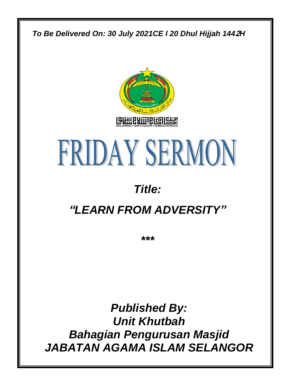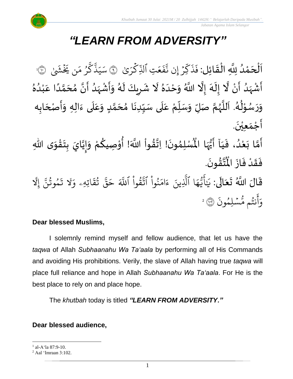# *"LEARN FROM ADVERSITY"*

 $\frac{1}{2}$ َ اَلْحَمْدُ لِلَّهِ الْقَائِلِ: فَذَكِّرْ إِن نَّفَعَتِ ٱلذِّكْرَىٰ ر<br>د ់<br>។  $\overline{\phantom{a}}$ ֦֧֦֧֦֧֦֧֦֧֦֧֦֧֧֦֧֦֧֦֧֧֦֝֟֓֓֜֓֟֓֟֓֜֓֟֓֟֓<br>**֧** َ  $\ddot{\phantom{0}}$ ْ ر<br>م ب<br>م تِ الذِّ  $\frac{1}{2}$ ع  $\ddot{\cdot}$ ف ىد<br>ب إِّن ن ِّر .<br>م ن<br>م ك  $\ddot{\cdot}$ ذ  $\ddot{\cdot}$ فَذَكِّرْ إِن نَّفَعَتِ ٱلذِّكْرَىٰ ۞ سَيَذَّكَّرُ مَن يَخْشَىٰ ِ<br>م و مَ ُو ِ<br>س ك بر<br>ج ذ ِ<br>بہ بر ِ<br>س سَيَذْكَرُ مَن يَخَشَىٰ ۞ ؚ<br>• أَشْهَدُ أَنْ لَّا إِلَهَ إِلَّا اللَّهُ وَحْدَهُ لَا شَرِيكَ لَهُ وَأَشْهَدُ أَنَّ مُحَمَّدًا عَبْدُهُ  $\ddot{\phantom{0}}$ ر<br>ا  $\frac{1}{2}$ ؚ<br>ۣ<br>ؙ  $\ddot{\phantom{0}}$ ر<br>پنج ં<br>ત  $\tilde{\cdot}$ ।<br>-<br>-፟<br>፞  $\frac{1}{1}$  $\tilde{\cdot}$ ِ<br>الم  $\tilde{r}$ ِ<br>ٌ ِ<br>ُا ֦֧<sup>֚</sup> ِ<br>م ً<br>ا ั<br>ั ๋<br>ጎ  $\frac{1}{2}$  $\ddot{\phantom{0}}$ ِ<br>ا  $\frac{1}{2}$ ْ ا<br>المناسبة<br>المناسبة  $\tilde{\cdot}$ ا<br>ر  $\mathbf{r}$ <u>ر</u>  $\mathbf{r}$ وَرَسُوْلُهُ. اَللَّهُمَّ صَلِّ وَسَلِّمْ عَلَى سَيِّدِنَا مُحَمَّدٍ وَعَلَى ءَالِهِ وَأَصْحَابِه  $\overline{\phantom{a}}$  $\frac{1}{2}$  $\tilde{\cdot}$  $\frac{1}{2}$ ً<br>آ ِ<br>م  $\tilde{\cdot}$ <u>لم</u> ั<br>ั ๋<br>ጎ ै<br>-<br>' ِّ  $\ddot{\tilde{r}}$ َ<br>آ ِ<br>م ์<br>ผู้  $\frac{1}{2}$  $\tilde{\cdot}$ ี้<br>ถ ر<br>ر<br>ر ہ<br>ا  $\overline{\phantom{a}}$ ر<br>ر ُ ֦֧֦֧֦֧<u>֦</u> ر<br>ر<br>س  $\ddot{\phantom{0}}$  $\tilde{\cdot}$  $\ddot{\phantom{0}}$ أَجْمَعِيْنَ. ْ  $\frac{1}{\alpha}$ َ لْمُسْلِمُونَ! اِتَّقُواْ اللَّهَ! أُوْصِيكُمْ وَإِيَّايَ بِتَقْوَى اللَّهِ  $\frac{1}{2}$ ֦֧<u>֓</u>  $\ddot{\phantom{0}}$  $\sum_{i=1}^{n}$ ن<br>•<br>•  $\frac{1}{2}$  $\tilde{\cdot}$ ر<br>م ֦֧<sup>֟</sup> ُ ٝ<br>أ <u>፟</u> **تا**  $\ddot{\phantom{0}}$ ›<br>ለ أَمَّا بَعْدُ، فَيَاۤ أَيُّهَا الْمُ ً<br>نار<br>مرا ر<br>و<br>•  $\ddot{\phantom{0}}$  $\frac{1}{1}$  $\ddot{\cdot}$ ِ<br>ُا ំ<br>•  $\frac{1}{2}$ ہ<br>م  $\ddot{\phantom{0}}$ .  $\ddot{\phantom{0}}$ ؾڤۏڹؘ <u>፟</u> ا<br>کرین<br>جو ُْ فَقَدْ فَازَ الْمُ  $\ddot{\cdot}$  $\ddot{\cdot}$ ؗ<br>ا  $\frac{1}{2}$  $\ddot{\cdot}$ قَالَ اللَّهُ تَعَالَى: يَ ً<br>الم  $\ddot{\bullet}$  $\frac{1}{2}$  $\ddot{\mathbf{r}}$ ٰ ي ِرِ اتِّهِّۦ و  $\ddot{\mathbf{z}}$ ق ت و<br>به یہ<br>بو قٌ  $\tilde{\phantom{0}}$ ح ِ<br>آک قُوا اللَّهَ **ٔ** ور ِ<br>په<br>ب نُوا اڌّ <u>ہ</u> ُو ِ<br>م ام ्<br>c لَّذِينَ ءَ<br>للَّذِينَ ءَ ا الذِ ِ<br>م ه و<br>د يَ<br>پ ِ<br>ج أَيُّهَا ٱلَّذِينَ ءَامَنُواْ ٱتَّقُواْ ٱللَّهَ حَقَّ تُقَاتِهِۦ وَلَا تَمُوتُنَّ إِ ्<br>स مُوتَنَّ و<br>په و  $\ddot{\cdot}$ تَمُوتُنَّ إِلَّا ِ<br>الإ و<br>به نت ِ<br>ج أ ِ<br>ہ و .<br>` ء<br>مَّسۡلِمُونَ و م مُّسۡلِمُونَ ۞ ۚ

### **Dear blessed Muslims,**

I solemnly remind myself and fellow audience, that let us have the *taqwa* of Allah *Subhaanahu Wa Ta'aala* by performing all of His Commands and avoiding His prohibitions. Verily, the slave of Allah having true *taqwa* will place full reliance and hope in Allah *Subhaanahu Wa Ta'aala*. For He is the best place to rely on and place hope.

The *khutbah* today is titled *"LEARN FROM ADVERSITY."*

### **Dear blessed audience,**

1

<sup>1</sup> al-A'la 87:9-10.

<sup>2</sup> Aal 'Imraan 3:102.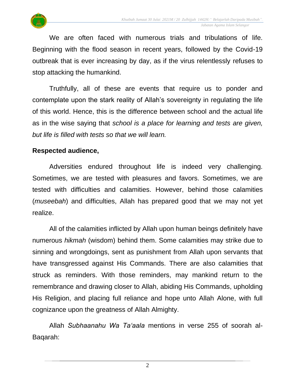

We are often faced with numerous trials and tribulations of life. Beginning with the flood season in recent years, followed by the Covid-19 outbreak that is ever increasing by day, as if the virus relentlessly refuses to stop attacking the humankind.

Truthfully, all of these are events that require us to ponder and contemplate upon the stark reality of Allah's sovereignty in regulating the life of this world. Hence, this is the difference between school and the actual life as in the wise saying that *school is a place for learning and tests are given, but life is filled with tests so that we will learn.*

#### **Respected audience,**

Adversities endured throughout life is indeed very challenging. Sometimes, we are tested with pleasures and favors. Sometimes, we are tested with difficulties and calamities. However, behind those calamities (*museebah*) and difficulties, Allah has prepared good that we may not yet realize.

All of the calamities inflicted by Allah upon human beings definitely have numerous *hikmah* (wisdom) behind them. Some calamities may strike due to sinning and wrongdoings, sent as punishment from Allah upon servants that have transgressed against His Commands. There are also calamities that struck as reminders. With those reminders, may mankind return to the remembrance and drawing closer to Allah, abiding His Commands, upholding His Religion, and placing full reliance and hope unto Allah Alone, with full cognizance upon the greatness of Allah Almighty.

Allah *Subhaanahu Wa Ta'aala* mentions in verse 255 of soorah al-Baqarah:

2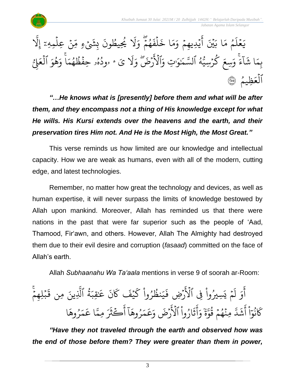



*"…He knows what is [presently] before them and what will be after them, and they encompass not a thing of His knowledge except for what He wills. His Kursi extends over the heavens and the earth, and their preservation tires Him not. And He is the Most High, the Most Great."*

This verse reminds us how limited are our knowledge and intellectual capacity. How we are weak as humans, even with all of the modern, cutting edge, and latest technologies.

Remember, no matter how great the technology and devices, as well as human expertise, it will never surpass the limits of knowledge bestowed by Allah upon mankind. Moreover, Allah has reminded us that there were nations in the past that were far superior such as the people of 'Aad, Thamood, Fir'awn, and others. However, Allah The Almighty had destroyed them due to their evil desire and corruption (*fasaad*) committed on the face of Allah's earth.

Allah *Subhaanahu Wa Ta'aala* mentions in verse 9 of soorah ar-Room:

ؚ<br>֧֧֦֧֦֧֦֧֦֧֦֖֧֦֦֖֧֦֖֧֦֖֧֦֦֧֦֧֦֦֧֦֦֧֦֦֧֦֦֦֧֦֧֝֟֟֟֟֟֟֟֟֟֟֟֟֟֟֟֟֟֟֬֟֩֬֓֟֩֕֓֟֓֟֬֟֩֬֓֟֩֬֬֬֬֬֬֬ こっ ِّم لِّه ب ؚ<br>ۣ  $\ddot{\mathbf{r}}$ لَّذِينَ مِن قَ ة الذِ و<br>ڏ ِ<br>س قِّب ֝֟<u>֔</u> ِ<br>م عَ<sup>ا</sup> .<br>\* ن ر<br>م َك ۡف َ ي ر<br>م نظُرُوا ك <u>ہ</u> ُو ور ِ<br>بہ بر  $\ddot{\cdot}$ رُضِ فَ ہ<br>آگ بَسِيرُوا فِي الاَّ ْ ُ  $\tilde{\cdot}$ ي  $\frac{1}{2}$ م .<br>و [ ل و ِ<br>ج أ ا  $\tilde{\lambda}$ وه ر ُ ر<br>م بر<br>ح ِ<br>م ا ع ین<br>پ ِ<br>مِـمّ پر<br>مذہ ڪثرَ ہ<br>آ آ أ ا  $\tilde{\lambda}$ وه ر ُ ر<br>م بر<br>م ِ<br>م ع ِ<br>م ۔<br>لَاَرۡضَ وَ ارُوا الا, ْ و<br>ا  $\tilde{\cdot}$ دَ<br>ذ ِ<br>ج أ ِ<br>ہ و ֦֧֦֧<br>֦֛׆ׇ֧ׅ֧֧׆֥  $rac{1}{2}$ یر<br>م مِنَّهُمْ قُوَّ و<br>پيد  $\frac{1}{2}$ و  $\ddot{\cdot}$ یہ<br>ا لتَّ ্য ش ِ<br>ج أ ْ ا  $\frac{1}{\epsilon}$ بر<br>نو ُو ر<br>م َك

*"Have they not traveled through the earth and observed how was the end of those before them? They were greater than them in power,*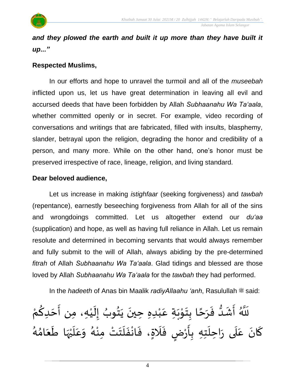

*and they plowed the earth and built it up more than they have built it up..."*

#### **Respected Muslims,**

In our efforts and hope to unravel the turmoil and all of the *museebah* inflicted upon us, let us have great determination in leaving all evil and accursed deeds that have been forbidden by Allah *Subhaanahu Wa Ta'aala*, whether committed openly or in secret. For example, video recording of conversations and writings that are fabricated, filled with insults, blasphemy, slander, betrayal upon the religion, degrading the honor and credibility of a person, and many more. While on the other hand, one's honor must be preserved irrespective of race, lineage, religion, and living standard.

#### **Dear beloved audience,**

Let us increase in making *istighfaar* (seeking forgiveness) and *tawbah* (repentance), earnestly beseeching forgiveness from Allah for all of the sins and wrongdoings committed. Let us altogether extend our *du'aa* (supplication) and hope, as well as having full reliance in Allah. Let us remain resolute and determined in becoming servants that would always remember and fully submit to the will of Allah, always abiding by the pre-determined *fitrah* of Allah *Subhaanahu Wa Ta'aala*. Glad tidings and blessed are those loved by Allah *Subhaanahu Wa Ta'aala* for the *tawbah* they had performed.

In the *hadeeth* of Anas bin Maalik *radiyAllaahu 'anh*, Rasulullah  $\ddot{a}$  said:

ْ أَشَدٌّ فَرَحًا بِتَوْبَةٍ عَبْدِهِ حِينَ يَتُوبُ إِلَيْهِ، مِن أَحَدِكُمْ <u>ل</u>  $\overline{\phantom{a}}$  $\frac{1}{2}$ ْ  $\tilde{\cdot}$ ।<br>-<br>-ُ ì<br>፟  $\ddot{\phantom{0}}$  $\ddot{\phantom{0}}$ ֦֧<sup>֚</sup> ِ<br>م  $\ddot{\phantom{0}}$ י<br>י  $\ddot{\phantom{0}}$ ر<br>.<br>. ้  $\frac{1}{2}$  $\ddot{\cdot}$  $\frac{3}{1}$  $\frac{1}{2}$  $\ddot{\cdot}$  $\tilde{\tilde{u}}$   $\sim$ س<sub>تو</sub><br>للله ا<br>ر كَانَ عَلَى رَاحِلَتِهِ بِأَرْضٍ فَلَاةٍ، فَانْفَلَتَتْ مِنْهُ وَعَلَيْهَا طَعَامُهُ  $\frac{1}{2}$  $\ddot{\phantom{0}}$  $\ddot{\phantom{0}}$ ِ<br>په<br>مر ْ ا<br>ا ِ<br>م  $\tilde{\cdot}$ ر<br>گ .<br>•<br>•  $\ddot{\phantom{0}}$  $\ddot{\phantom{0}}$  $\ddot{\phantom{0}}$ ْ  $\frac{1}{2}$ ;<br>> ֝<br>֧֝֝<br>֝׀  $\ddot{\cdot}$ ٍ<br>إ ֦֧֦֧֦֧<br>**֧**  $\frac{1}{2}$ **ؚ**  $\overline{\phantom{a}}$  $\frac{1}{2}$  $\frac{1}{2}$  $\frac{1}{2}$  $\ddot{\phantom{0}}$ ์<br>-<br>-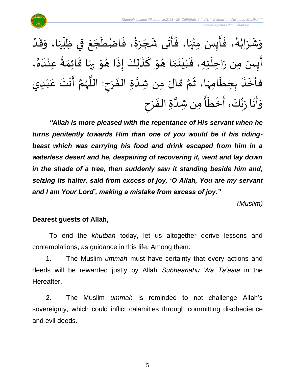

ْ وَشَرَابُهُ، فَأَيِسَ مِنْهَا، فَأَتَى شَجَرَةً، فَاضْطَجَعَ فِي ظِلِّهَا، وَقَدْ  $\frac{1}{2}$  $\tilde{\cdot}$  $\frac{1}{2}$  $\mathbf{r}$  $\ddot{\phantom{0}}$  $\overline{\phantom{a}}$  $\ddot{\phantom{0}}$  $\ddot{\cdot}$  $\ddot{=}$  $\frac{1}{2}$  $\overline{\phantom{a}}$  $\overline{\phantom{a}}$ ِ<br>په  $\frac{1}{2}$  $\ddot{\cdot}$ ِ<br>په<br>په ْ  $\frac{1}{2}$  $\ddot{\phantom{0}}$  $\ddot{\cdot}$ ر<br>گ ُ  $\frac{1}{2}$  $\frac{1}{2}$  $\tilde{\cdot}$ ا<br>أَيِسَ مِن رَاحِلَتِهِ، فَبَيْنَمَا هُوَ كَذَلِكَ إِذَا هُوَ بِهَا قَائِمَةً عِنْدَهُ،  $\sum_{i=1}^{n}$  $\frac{1}{2}$ <sub>ይ</sub><br>▲  $\frac{1}{1}$ ْ ً<br>مناسبة<br>مناسبة  $\frac{1}{2}$  $\frac{1}{2}$ ्<br>,<br>, **∶**  $\ddot{\ }$  $\frac{1}{2}$  $\ddot{\cdot}$  $\ddot{\cdot}$ ์<br>-<br>- $\ddot{\ }$  $\frac{1}{2}$  $\frac{1}{2}$  $\ddot{\phantom{0}}$ ំ<br>រ  $\frac{1}{1}$  $\ddot{\cdot}$  $\ddot{\phantom{0}}$  $\frac{1}{2}$ فأخَذَ بِخِطَامِهَا، ثُمَّ قالَ مِن شِدَّةِ الفَرَحِ: اللَّهُمَّ أَنْتَ عَبْدِي ٝ<br>ؙ ِ<br>م ់<br>•• ْ ֝֝֝֝֝֝֝֝<br>֧֝֝֝֝֝֝֝֝֝<br>֧֝֝֝֝֝֝֝֝֝֝֝֝ ี<br>ถ ر<br>ر<br>ر '<br>⊽<br>। **∶**  $\frac{1}{2}$  $\ddot{\phantom{0}}$ ر<br>آ ر<br>م ُ<br>ُ  $\frac{1}{2}$ ا<br>م ِ<br>په  $\ddot{\phantom{0}}$ **∶** وَأَنَا رَبُّكَ، أَخْطَأَ مِن شِدَّةِ الفَرَحِ  $\frac{1}{2}$  $\ddot{\phantom{0}}$ ن<br>ا ।<br>;<br>;  $\check{\mathbf{r}}$ ْ ا<br>-<br>-ر<br>پ  $\frac{1}{2}$ ِ<br>پاس ا<br>م:<br>:  $\tilde{\cdot}$ 

*"Allah is more pleased with the repentance of His servant when he turns penitently towards Him than one of you would be if his ridingbeast which was carrying his food and drink escaped from him in a waterless desert and he, despairing of recovering it, went and lay down in the shade of a tree, then suddenly saw it standing beside him and, seizing its halter, said from excess of joy, 'O Allah, You are my servant and I am Your Lord', making a mistake from excess of joy."*

*(Muslim)*

## **Dearest guests of Allah,**

To end the *khutbah* today, let us altogether derive lessons and contemplations, as guidance in this life. Among them:

1. The Muslim *ummah* must have certainty that every actions and deeds will be rewarded justly by Allah *Subhaanahu Wa Ta'aala* in the Hereafter.

2. The Muslim *ummah* is reminded to not challenge Allah's sovereignty, which could inflict calamities through committing disobedience and evil deeds.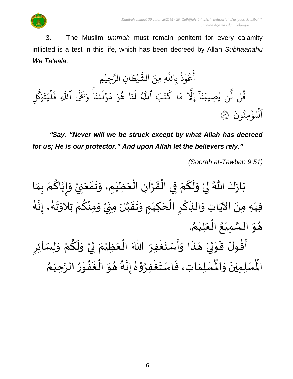

3. The Muslim *ummah* must remain penitent for every calamity inflicted is a test in this life, which has been decreed by Allah *Subhaanahu Wa Ta'aala*.

ِّم ِّجي ْ ِ<br>سَ ِّن الر ا  $\frac{1}{2}$ ط ي ْ بر<br>پو لَّهِ مِنَ الشَّ عُوْذُ بِاللَّهِ و<br>ڊ ْ و<br>م ِ<br>ج أ ن یہ<br>۱ قُلْ لَن يُصِيبَنَا إِلاَّ مَا كَتَبَ اللَّهُ لَنَا هُوَ مَوۡلَىٰنَا وَعَلَى اللَّهِ فَلَيَتَوَكَّلِ و<br>په ِ<br>تَعَ َّك ِ<br>م ۔<br>و  $\ddot{\cdot}$ ت ِ ي ل ہ<br>1  $\ddot{\cdot}$ ِّ ف یہ<br>ا ء<br>ا وَعَلَى ٱللَّهِ بر ن ى ؚ<br>ؙ َ ل و ر<br>م ِ<br>م م ِ و ا ه و<br>ج ر<br>[بر لَمَ ِ<br>آھ<br>آلھ ِ<br>تَبَ ٱللَّهُ ت ر<br>سم ا ك ِ<br>م بر<br>م ىد<br>1 إَِّل  $\tilde{1}$ ا بر ن ِ<br>پ ِّصيب ي ُو  $\ddot{\cdot}$ الْمُؤْمِنُونَ ۞ ُ ہ<br>ء و ہ<br>1

*"Say, "Never will we be struck except by what Allah has decreed for us; He is our protector." And upon Allah let the believers rely."*

*(Soorah at-Tawbah 9:51)*

ْ بَارَكَ اللّهُ لِيْ وَلَكُمْ فِي الْقُرْآنِ الْعَظِيْمِ، وَنَفَعَنِيْ وَإِيَّاكُمْ بِمَا  $\ddot{\phantom{0}}$  $\ddot{\phantom{0}}$  $\ddot{\phantom{0}}$  $\tilde{\cdot}$ ْ َ ֦֧֦֧֦֧֝<u>֦</u> ْ  $\frac{1}{2}$ ֦֧֦֧֦֧֦֧֦֧֦֧֦֧֧֧ׅ֧֦֧֧֝֟֓֟֓֓֟֓֟֓֟֓֟֓֟֓֟֓֟֓֟֓֟֓֟֓֟֓֟֓֟֓֟֓֟֓֟֓֟֓֝֟֓֟֓֟֓֟֓֝֬֜֓֟֓֝֬<br>**֧** ْ ِ<br>م  $\tilde{\mathbf{r}}$  $\frac{1}{2}$ ْ  $\frac{1}{2}$  $\ddot{\ }$  $\frac{1}{2}$ ْ <u>ل</u> ن<br>▲<br>▲  $\frac{1}{2}$  $\frac{1}{2}$ ء<br>لم فيْهِ مِنَ الآيَاتِ وَالنِّكْرِ الْحَكِيْمِ وَتَقَبَّلَ مِنِّيْ وَمِنْكُمْ تِلاَوَتَهُ، إِنَّهُ َ<br>تار<br>. ।<br>-<br>-ر<br>گ  $\ddot{\phantom{0}}$  $\ddot{\ }$ ِ<br>ْم <u>ل</u> ْ  $\ddot{\phantom{0}}$ ْ י<br>ִי  $\sum$ ن<br>ا  $\frac{1}{2}$  $\ddot{\phantom{0}}$  $\frac{1}{2}$ ់<br>រ  $\overline{\phantom{a}}$ ْ <u>ر</u> ْ ِّ .<br>م  $\mathbf{r}$  $\ddot{\phantom{0}}$ ٝ<br>ؙ ُ هُوَ السَّمِيْعُ الْعَلِيْمُ. ٝ<br>ؙ ر<br>س  $\ddot{\ }$  $\frac{1}{2}$ ُ ٝ<br>ؙ  $\ddot{\phantom{0}}$ ْ <u>ر</u> أَقُولُ قَوْلِيْ هَذَا وَأَسْتَغْفِرُ اللّٰهَ الْعَظِيْمَ لِيْ وَلَكُمْ وَلِسَاْئِرِ  $\tilde{\cdot}$ ْ <u>ل</u>  $\tilde{\mathbf{r}}$  $\tilde{\cdot}$ ْ إ  $\frac{1}{2}$ ٝ<br>ؙ َ ֦֧֦֧֦֧֝<u>֦</u> ៝<br>៓ ْ<br>؛  $\frac{1}{2}$  $\frac{1}{2}$  $\tilde{\cdot}$ ै।<br>र  $\overline{\phantom{a}}$ ْ إ ֦֧֦֝<br>**֧**  $\frac{1}{2}$ و<br>پيد  $\frac{1}{2}$  $\frac{1}{2}$ ري<br>لْمُسْلِمَاتِ، فَاسْتَغْفِرُوْهُ إِنَّهُ هُوَ الْغَفُوْرُ الرَّحِيْمُ ់<br>រ ہ<br>د  $\frac{1}{2}$ י<br>י •<br>}<br>•  $\ddot{\phantom{0}}$ ا<br>أ  $\ddot{\ }$  $\frac{1}{2}$ ر<br>پر  $\frac{1}{2}$ ।<br>-<br>-፟<br>፞ ֦֧֦֧֦ ب<br>پ ا<br>اد  $\ddot{\phantom{0}}$  $\ddot{\cdot}$  $\frac{1}{2}$ رت<br>لْمُسْلِمِيْنَ وَالْمُ  $\tilde{\phantom{a}}$  $\ddot{\phantom{0}}$ ْ اْل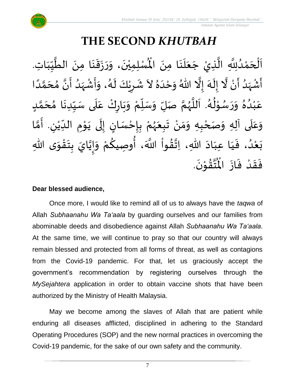# **THE SECOND** *KHUTBAH*

ِ<br>اَلْحَمْدُلِلَّهِ الَّذِيْ جَعَلَنَا مِنَ الْمُسْلِمِيْنَ، وَرَزَقَنَا مِنَ الطَّيِّبَاتِ ر<br>پ ن<br>پ ِ<br>ُ ់<br>ត  $\overline{\phantom{a}}$ ֦֧֦֧֦֧֝<u>֚</u>  $\overline{\phantom{a}}$  $\frac{1}{1}$  $\frac{1}{2}$  $\frac{1}{2}$ ہ<br>م  $\ddot{\phantom{0}}$  $\ddot{\phantom{0}}$  $\frac{1}{2}$  $\ddot{\phantom{0}}$  $\frac{1}{2}$  $\ddot{\ }$  $\ddot{\phantom{0}}$ ْ جَعَلَنَا مِنَ الْمُسْلِمِيْنَ، وَرَزَقَنَا مِنَ الطَّيِّبَاتِ.  $\ddot{\phantom{0}}$  $\ddot{\phantom{0}}$ ِ<br>ا  $\ddot{\phantom{0}}$  $\overline{\phantom{a}}$ ें<br>र أَشْهَدُ أَنْ لَّا إِلَهَ إِلَّا اللّهُ وَحْدَهُ لاَ شَرِيْكَ لَهُ، وَأَشْهَدُ أَنَّ مُحَمَّدًا ْ  $\ddot{\mathbf{z}}$ <sup>ب</sup><br>ا ر<br>زا ؚ<br>ۣ<br>ؙ  $\sum_{i=1}^{n}$ َ َ<br>ِم  $\tilde{\cdot}$ ।<br>-<br>- $\ddot{\phantom{0}}$ ٍ<br>په  $\frac{1}{1}$  $\tilde{\cdot}$ ً<br>ا ั<br>ด َ  $\frac{1}{2}$ َ ا<br>: ِ<br>ُ'  $\frac{1}{2}$ ْ ا<br>:<br>:  $\tilde{\cdot}$ د<br>گ  $\tilde{\mathbf{r}}$ ْ <u>ر</u> ैं: عَبْدُهُ وَرَسُوْلُهُ. اَللَّهُمَّ صَلِّ وَسَلِّمْ وَبَارِكْ عَلَى سَبِّدِنَا مُحَمَّدٍ <u>لم</u> ั<br>ว  $\overline{\phantom{a}}$  $\frac{1}{2}$  $\ddot{\phantom{0}}$ ِّ  $\frac{1}{2}$ ۔ $\frac{1}{\sqrt{2}}$  $\frac{1}{2}$ ّ  $\ddot{\phantom{0}}$ ั ْ ِّ ِ  $\frac{1}{2}$ َ ر<br>ر<br>ر ہ<br>ا  $\ddot{\phantom{0}}$ ر<br>م ا<br>الج י<br>י ر<br>م  $\frac{1}{2}$  $\tilde{\cdot}$ ፟<br>፞ .<br>ا ْ ِ<br>م وَعَلَى آلِهِ وَصَحْبِهِ وَمَنْ تَبِعَهُمْ بِإِحْسَانٍ إِلَى يَوْمِ الدِّيْنِ. أَمَّا  $\overline{\phantom{a}}$ َ  $\tilde{\cdot}$ ั<br>ว َ ِ ٝ<br>ؙ  $\frac{1}{1}$ **→** י<br>י  $\ddot{\phantom{0}}$  $\ddot{\phantom{0}}$ ل ।<br>-<br>-)<br>=<br>= ْ **ؚ** ْ ر<br>ر<br>ر َ  $\ddot{\phantom{0}}$ ْ  $\frac{1}{2}$  $\ddot{\phantom{0}}$ ْ ى ِهللا و ق ت ب ايَ ي إ و م وِصيك ، أ َّللا ََ وا ق ِهللا، ِات اد ِعب ا ي ، ف د ع ب  $\ddot{\ }$ ֦֧֦֧<u>֦</u>  $\frac{1}{2}$ **ؚ** ن<br>•  $\frac{1}{2}$  $\ddot{\ }$ ْ ्य<br>द ُ<br>پیدائشہ ز<br>ا  $\frac{1}{2}$  $\frac{1}{2}$  $\sim$  $\frac{1}{1}$  $\frac{1}{1}$  $\frac{1}{2}$ ُ<br>ُ' ْ  $\ddot{\phantom{0}}$ .  $\ddot{\phantom{0}}$ تقۇنَ י<br>י  $\frac{1}{2}$ ِ<br>ئىق<br>ج  $\frac{1}{\sqrt{2}}$ فَقَدْ فَازَ الْمُ  $\ddot{\phantom{0}}$  $\ddot{\cdot}$ ْ  $\frac{1}{2}$  $\frac{1}{2}$ 

#### **Dear blessed audience,**

Once more, I would like to remind all of us to always have the *taqwa* of Allah *Subhaanahu Wa Ta'aala* by guarding ourselves and our families from abominable deeds and disobedience against Allah *Subhaanahu Wa Ta'aala*. At the same time, we will continue to pray so that our country will always remain blessed and protected from all forms of threat, as well as contagions from the Covid-19 pandemic. For that, let us graciously accept the government's recommendation by registering ourselves through the *MySejahtera* application in order to obtain vaccine shots that have been authorized by the Ministry of Health Malaysia.

May we become among the slaves of Allah that are patient while enduring all diseases afflicted, disciplined in adhering to the Standard Operating Procedures (SOP) and the new normal practices in overcoming the Covid-19 pandemic, for the sake of our own safety and the community.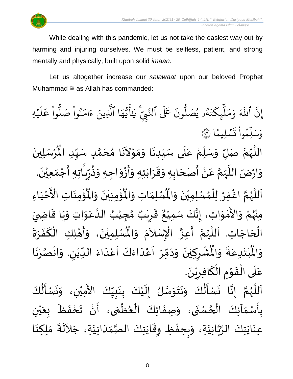

While dealing with this pandemic, let us not take the easiest way out by harming and injuring ourselves. We must be selfless, patient, and strong mentally and physically, built upon solid *imaan*.

Let us altogether increase our *salawaat* upon our beloved Prophet Muhammad  $\equiv$  as Allah has commanded:

ا ِ<br>م ه و<br>ما يَ<br>ب ِ<br>ع  $\overline{\mathcal{L}}$ ٰ ِ<br>بر ِّيِّي يَاْ<br>تَّبِيِّ يَاْ نَ عَلَى ٱلنَّ ون و<br>ا و<br>٩و يُصَلُّ و<br>د و<br>لم  $\ddot{\cdot}$ ت ر<br>م ِّك ئ بر<br>ا  $\mu$ ِ<br>م بر<br>م  $\frac{1}{\alpha}$ و ِ<br>آک اللَّهَ ِ<br>په إِنَّ اللَّهَ وَمَلْبِكَتَهُو يُصَلُّونَ عَلَى النَّبِيِّ يَايُّهَا الَّذِينَ ءَامَنُوا صَلوا عَلَيْهِ ؚ<br>ۣ ر<br>آ  $\mu$ ِ<br>م ع وا ْ و<br>س بُواْ صَلَّ ْ ُو ِ<br>م ام ر<br>ہ ء ِّينَ یہ<br>۱ الذِ ا  $\frac{2}{1}$ ن*َّيْمَ*لِيمَّ  $\ddot{\phantom{0}}$  $\ddot{\cdot}$ ت ْ وا ِّم و<br>م ر<br>ا ل ِ<br>س وَسَلِّمُواْ تَسْلِيمًا (َ ُ  $\ddot{\phantom{0}}$ ِ<br>رُسَلِينَ ْ  $\mathbf{r}$ اللَّهُمَّ صَلِّ وَسَلِّمْ عَلَى سَيِّدِنَا وَمَوْلاَنَا مُحَمَّدٍ سَيِّدِ الْمُ ِّ  $\frac{1}{2}$  $\frac{1}{2}$ ั<br>ด  $\overline{\phantom{a}}$  $\frac{1}{2}$  $\overline{\phantom{a}}$  $\sim$ י<br>י  $\frac{1}{2}$  $\ddot{\phantom{0}}$  $\ddot{\phantom{0}}$ ِّ  $\frac{1}{2}$  $\frac{1}{2}$ ْ ِّ  $\frac{1}{2}$  $\ddot{\phantom{0}}$ َ ر<br>ر<br>ر ہ<br>ا  $\frac{1}{2}$ وَارْضَ اللَّهُمَّ عَنْ أَصْحَابِهِ وَقَرَابَتِهِ وَأَزْوَاجِهِ وَذُرِّيَّاتِهِ أَجْمَعِيْنَ. ْ  $\frac{1}{2}$ ֦֧֦֧֦֧<u>֦</u> ्<br>नि ં<br>ਹ ِّ ِ ≈<br>په  $\tilde{\cdot}$  $\frac{1}{2}$ ْ -<br>:<br>:  $\ddot{\ }$  $\ddot{\phantom{0}}$  $\frac{1}{2}$  $\frac{1}{2}$ ์ $\overline{\phantom{a}}$  $\overline{\phantom{a}}$ ֝׀<br>ֺֺ֧֢֪֪֪֝֜֝֝֝֝ ْ  $\frac{1}{2}$ ี<br>ถ ر<br>ر<br>ر ً<br>ا  $\tilde{\phantom{a}}$ ؙۊؙ۠ڡؚنَاتِ  $\ddot{\phantom{0}}$ ់<br>: بر<br>م ُؤْمِنِيْنَ وَالْمُ  $\tilde{\cdot}$  $\ddot{\phantom{0}}$ ْ ់<br>:  $\mathbf{r}^{\circ}$ ِ<br>لْمُسْلِمَاتِ وَالْمُ  $\frac{1}{2}$  $\frac{1}{2}$ اَللَّهُمَّ اغْفِرْ لِلْمُسْلِمِيْنَ وَالْمُسْلِمَاتِ وَالْمُؤْمِنِيْنَ وَالْمُؤْمِنَاتِ الْأَخْيَاءِ  $\frac{1}{2}$  $\ddot{\phantom{0}}$ ْ ๋<br>ለ ْ ٝ<br>؛ ี<br>จึ ر<br>ر<br>ر ہ<br>ا  $\overline{\phantom{a}}$  $\frac{1}{1}$ ֦֧֦֧֦֧<u>֦</u> َ مَ<br>مع الْأَ ْ مِنْهُمْ وَالأَمْوَاتِ، إِنَّكَ سَمِيْعٌ قَرِيْبٌ مُجِيْبُ الدَّعَوَاتِ وَيَا قَاضِيَ ُ<br>رو<br>مر ْ  $\ddot{\ }$ י<br>י ا<br>ع  $\ddot{\ }$  $\frac{1}{2}$  $\ddot{\mathbf{r}}$  $\ddot{\phantom{0}}$  $\tilde{\cdot}$  $\frac{1}{2}$ ِ<br>م ہ<br>1 ُ ់<br>រ  $\frac{1}{\lambda}$ ه<br>**د ا** ي ر ق ِ  $\frac{1}{2}$  $\frac{1}{2}$ ءِ<br>، إِنَّكَ سَمِيْعٌ ់<br>រ ्<br>इ ।<br>-<br>-تِهُم رَّ تَبَيَّبُ عَمَّدٍ.<br>الْحَاجَاتِ. اَللَّهُمَّ أَعِزَّ الْإِسْلاَمَ وَالْمُسْلِمِيْنَ، وَأَ  $\overline{\phantom{a}}$ ۔<br>ا ر<br>ب  $\tilde{\cdot}$  $\ddot{\phantom{0}}$ ْ ِ<br>اَللَّهُمَّ أَعِزَّ الْإِسْلاَمَ وَالْمُسْلِمِيْنَ، وَأَهْلِكِ الْكَفَرَةَ  $\ddot{\ }$ .<br>د ्<br>र .<br>ا  $\frac{1}{2}$ ا<br>با ี<br>ถึ ر<br>ر<br>ر ر<br>ق ا<br>أ  $\mathbf{I}^*$  $\frac{1}{2}$  $\ddot{\phantom{0}}$ َ ْ ֦֧֦֦֦֦֦֦֦֧֦֧֦֧֝֝֟֟֝֝֟֓֟֓<u>֦</u> ُشْرِكِيْنَ وَدَمِّرْ اَعْدَاءَكَ اَعْدَاءَ اللِّيْنِ. وَانْصُرْنَا ر<br>.<br>. ْ  $\frac{1}{2}$ ْ  $\tilde{\cdot}$ ِ ْ ِّ  $\ddot{\phantom{0}}$ ا<br>ا<br>ا .<br>م ֝<br>֧֧֧֩֩֕֓֝֓֝<br>׀ ا<br>د  $\frac{1}{2}$  $\frac{1}{1}$ ر<br>م  $\overline{\phantom{a}}$ ֦֧֦֧֦֧֦֧<br>֧  $\frac{1}{2}$  $\sim$  $\tilde{\cdot}$ ر<br>• ْ <u>ر</u> ْ  $\ddot{\text{h}}$ ُبْتَدِعَةً وَالْمُ  $\frac{1}{2}$  $\ddot{\cdot}$ ِ<br>م  $\ddot{\phantom{0}}$ ْ<br>ْ  $\ddot{\text{h}}$ اْل و  $\frac{1}{2}$ .  $\frac{1}{2}$ عَلَى الْقَوْمِ الْكَافِرِيْنَ ْ <u>ر</u> .<br>م ֝֝֝֝֝֝֝֝֝<br>֝֝**֓**֓֝֟֟֘ **→** י<br>י ا<br>المحمد<br>الجوا ّٰ<br>ا  $\frac{1}{1}$ ِ<br>م ِ<br>نَسْـأَلُكَ ُ<br>ا  $\frac{1}{2}$  $\ddot{\phantom{0}}$  $\tilde{\cdot}$ ِ<br>اَللَّهُمَّ إِنَّا نَسْأَلُكَ وَنَتَوَسَّلُ إِلَيْكَ بِنَبِيِّكَ الأَمِيْنِ، وَا ْ َ<br>ج ِّ  $\frac{1}{2}$ ់<br>(  $\tilde{\mathbf{r}}$ ن<br>سا  $\ddot{\ }$  $\ddot{\phantom{0}}$  $\ddot{\phantom{0}}$  $\tilde{\cdot}$ ُ<br>وفات ۔<br>با  $\ddot{\phantom{0}}$  $\frac{1}{2}$ ี<br>จ ر<br>ر<br>ر ہ<br>ا  $\overline{\phantom{a}}$ 

 $\frac{1}{2}$  $\frac{1}{2}$ **ر**<br>-।<br>द ।<br>-<br>- $\ddot{\phantom{0}}$ .<br>بِأَسْمَاَئِكَ الْحُسْنَى، وَصِفَاتِكَ الْعُظُمَى، أَنْ تَحْفَظَ بِعَيْنِ ر<br>م ֦֧֦֧֦֦֧֦֧֦֧֦֧֦֧֦֧֦֧֝֝֟֓֓֝֟֓֓<br>**֧**  $\frac{1}{2}$ ֚֚֬֝֟֟<br>֧֧֧֧֝֟֓֝֬֝֓֕֓֝֟֓֟֓֟֓֟֓֟֓֟֓֟֓֟֓֟֓֝֟֓֟֓֟֓֝֟ <u>ر</u><br>-ْ ي  $\ddot{\bullet}$ ر<br>م  $\ddot{\cdot}$  $\frac{1}{2}$ ْ  $\frac{1}{2}$  $\frac{1}{\sqrt{2}}$ ر<br>م ُ ֦֧֦֧֦֧֝<u>֦</u>  $\ddot{\cdot}$  $\tilde{\cdot}$  $\ddot{\cdot}$ ِ<br>عِنَايَتِكَ الرَّبَّانِيَّةِ، وَبِحِفْظِ وِقَايَتِكَ الصَّمَدَانِيَّةِ، جَلاَلَةَ مَلِكِنَا ِ<br>اَلْجَ  $\sim$ َ  $\frac{1}{1}$  $\frac{1}{2}$ ر<br>ر<br>ر  $\ddot{\phantom{0}}$ ا<br>يو ້<br>:  $\frac{1}{2}$  $\tilde{\cdot}$ ن<br>ا ہ<br>مہ ہ<br>پ  $\ddot{\phantom{0}}$  $\ddot{\phantom{0}}$  $\ddot{\phantom{0}}$  $\frac{1}{2}$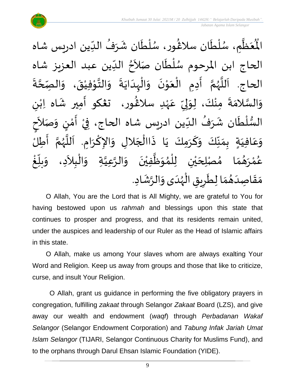

ْمَظَّمِ، سُلْطَان سلاغُور، سُلْطَان شَرَفُ الدِّين ادريس شاه ِّ ُ  $\frac{1}{2}$  $\ddot{\phantom{0}}$ ់<br>( ُ<br>ُ )<br>ፌ  $\tilde{\mathbf{r}}$ ؗ<br>ا ُ<br>ُ ِ<br>پا  $\frac{1}{2}$  $\mathbf{r}^{\circ}$ اْل الحاج ابن المرحوم سُلْطَان صَلاَحُ الدِّين عبد العزيز شاه ا<br>ا <sup>}</sup> ।<br>र ا<br>أح ا<br>ا ر<br>م  $\ddot{\cdot}$ الحاج. اَللَّهُمَّ أَدِمِ الْعَوْنَ وَالْبِدَايَةَ وَالتَّوْفِيْقَ، وَالصِّحَّةَ **ี**<br>ร  $\tilde{\cdot}$  $\ddot{\phantom{0}}$ ْ י<br>י  $\frac{1}{2}$  $\tilde{\cdot}$  $\ddot{\cdot}$  $\ddot{\phantom{0}}$ ا<br>ا ِ<br>ا  $\tilde{\cdot}$  $\ddot{\phantom{0}}$ י<br>י  $\ddot{\phantom{0}}$ ֧֦֧֦֧֦֧<br>֧ ।<br>∕  $\frac{1}{2}$ ี<br>จ ر<br>ر<br>ر َ<br>أنا َ<br>آ ى<br>وَالسَّلامَةَ مِنْكَ، لِوَلِيِّ عَهْدِ سلاغُور، تعْكو أَمِير شَاه اِبْنِ ٝ<br>ؙ  $\frac{1}{2}$ َ ر<br>پیدائشہ ْ ِ<br>م ِّ ا<br>بر<br>: إ ر<br>په ່<br>່  $\ddot{\cdot}$  $\frac{1}{2}$ ن<br>سا<br>سا  $\frac{1}{2}$ ।<br>इ السُّلْطَان شَرَفُ الدِّين ادريس شاه الحاج، فِيْ أَمْنٍ وَصَلاَحٍ َ  $\tilde{\cdot}$ <u>رِ</u> י<br>י  $\ddot{\phantom{0}}$ ْ ۔<br>' ُ  $\frac{1}{2}$ **ृ** ់<br>(  $\frac{3}{2}$ َ وَعَافِيَةٍ بِمَنَّكَ وَكَرَمِكَ يَا ذَاالْجَلالِ وَالإِكْرَامِ. اَللَّهُمَّ أَطِلُ  $\tilde{\cdot}$ ِّ  $\frac{1}{2}$  $\frac{1}{2}$  $\frac{1}{2}$  $\frac{1}{1}$ ِ<br>م  $\tilde{\cdot}$ ا<br>:<br>: ี<br>ถ .<br>پر<br>پر ب<br>تار  $\overline{\phantom{a}}$ ।<br>।<br>। ا<br>د  $\ddot{\ }$  $\overline{\phantom{a}}$ ֦֧֦֧֦֧֝<u>֦</u>  $\ddot{\cdot}$  $\ddot{\phantom{0}}$ ້<br>: غ ِّبِ  $\frac{1}{2}$ بلّ  $\ddot{\ }$ عُمْرَهُمَا مُصْلِحَيْنِ لِلْمُوَظَّفِيْنَ وَالرَّعِيَّةِ وَالْبِلاَدِ، وَ  $\sim$ ֦֧֦֧֦֦֧֦֧֦֧֦֧֦֧֦֝֟֓֓֟֓֟֓֟֓֟֓֟֓֟֓֟֓֟֓֟֓֟֓֟֓֟֓֝֟֓<br>֩֩**֓**֓֡֡֡֜ م<br>م َ ہ<br>د ์ $\frac{1}{2}$  $\ddot{\phantom{0}}$ ْ ِ<br>پا  $\ddot{\ }$ ๋<br>ำ ؗ<br>ا ْ ي  $\overline{\phantom{a}}$  $\frac{1}{2}$  $\frac{1}{2}$ ر<br>په י<br>י .<br>م مَقَاصِدَهُمَا لِطَرِيقِ الْهُدَى وَالرَّشَادِ. '<br>-<br>\*  $\tilde{\cdot}$  $\frac{1}{1}$ ر<br>ر<br>ر ֧֦֧֦ ة<br>و <u>ر</u>  $\tilde{\cdot}$  $\frac{1}{2}$  $\frac{1}{2}$  $\frac{1}{1}$  $\frac{1}{2}$  $\frac{1}{2}$ 

O Allah, You are the Lord that is All Mighty, we are grateful to You for having bestowed upon us *rahmah* and blessings upon this state that continues to prosper and progress, and that its residents remain united, under the auspices and leadership of our Ruler as the Head of Islamic affairs in this state.

O Allah, make us among Your slaves whom are always exalting Your Word and Religion. Keep us away from groups and those that like to criticize, curse, and insult Your Religion.

O Allah, grant us guidance in performing the five obligatory prayers in congregation, fulfilling *zakaat* through Selangor *Zakaat* Board (LZS), and give away our wealth and endowment (*waqf*) through *Perbadanan Wakaf Selangor* (Selangor Endowment Corporation) and *Tabung Infak Jariah Umat Islam Selangor* (TIJARI, Selangor Continuous Charity for Muslims Fund), and to the orphans through Darul Ehsan Islamic Foundation (YIDE).

9